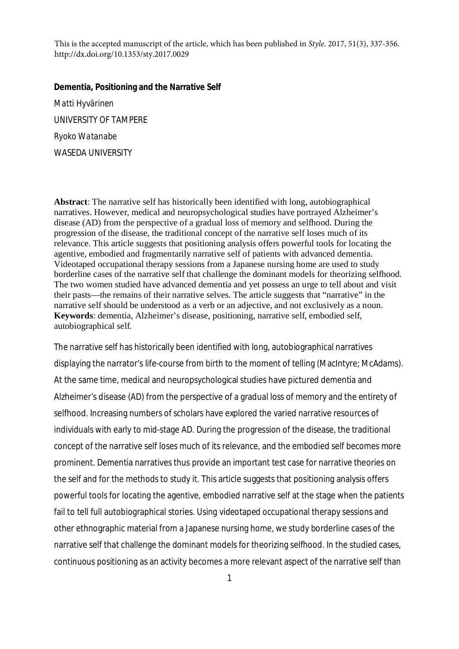This is the accepted manuscript of the article, which has been published in *Style*. 2017, 51(3), 337-356. http://dx.doi.org/10.1353/sty.2017.0029

**Dementia, Positioning and the Narrative Self** *Matti Hyvärinen* UNIVERSITY OF TAMPERE *Ryoko Watanabe* WASEDA UNIVERSITY

**Abstract**: The narrative self has historically been identified with long, autobiographical narratives. However, medical and neuropsychological studies have portrayed Alzheimer's disease (AD) from the perspective of a gradual loss of memory and selfhood. During the progression of the disease, the traditional concept of the narrative self loses much of its relevance. This article suggests that positioning analysis offers powerful tools for locating the agentive, embodied and fragmentarily narrative self of patients with advanced dementia. Videotaped occupational therapy sessions from a Japanese nursing home are used to study borderline cases of the narrative self that challenge the dominant models for theorizing selfhood. The two women studied have advanced dementia and yet possess an urge to tell about and visit their pasts—the remains of their narrative selves. The article suggests that "narrative" in the narrative self should be understood as a verb or an adjective, and not exclusively as a noun. **Keywords**: dementia, Alzheimer's disease, positioning, narrative self, embodied self, autobiographical self.

The narrative self has historically been identified with long, autobiographical narratives displaying the narrator's life-course from birth to the moment of telling (MacIntyre; McAdams). At the same time, medical and neuropsychological studies have pictured dementia and Alzheimer's disease (AD) from the perspective of a gradual loss of memory and the entirety of selfhood. Increasing numbers of scholars have explored the varied narrative resources of individuals with early to mid-stage AD. During the progression of the disease, the traditional concept of the narrative self loses much of its relevance, and the embodied self becomes more prominent. Dementia narratives thus provide an important test case for narrative theories on the self and for the methods to study it. This article suggests that positioning analysis offers powerful tools for locating the agentive, embodied narrative self at the stage when the patients fail to tell full autobiographical stories. Using videotaped occupational therapy sessions and other ethnographic material from a Japanese nursing home, we study borderline cases of the narrative self that challenge the dominant models for theorizing selfhood. In the studied cases, continuous positioning as an activity becomes a more relevant aspect of the narrative self than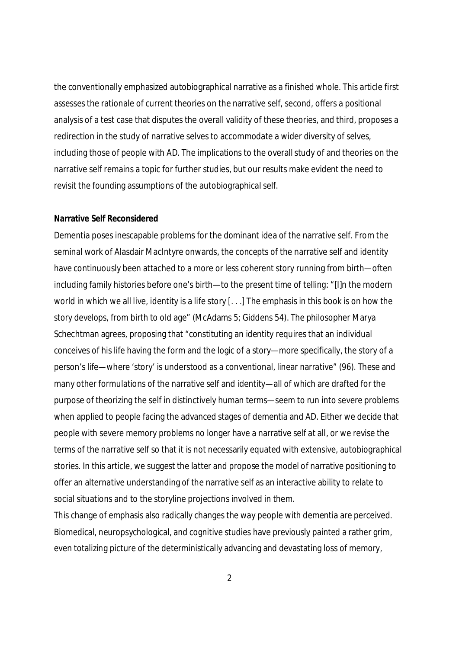the conventionally emphasized autobiographical narrative as a finished whole. This article first assesses the rationale of current theories on the narrative self, second, offers a positional analysis of a test case that disputes the overall validity of these theories, and third, proposes a redirection in the study of narrative selves to accommodate a wider diversity of selves, including those of people with AD. The implications to the overall study of and theories on the narrative self remains a topic for further studies, but our results make evident the need to revisit the founding assumptions of the autobiographical self.

#### **Narrative Self Reconsidered**

Dementia poses inescapable problems for the dominant idea of the narrative self. From the seminal work of Alasdair MacIntyre onwards, the concepts of the narrative self and identity have continuously been attached to a more or less coherent story running from birth—often including family histories before one's birth—to the present time of telling: "[I]n the modern world in which we all live, identity is a life story [. . .] The emphasis in this book is on *how the story develops,* from birth to old age" (McAdams 5; Giddens 54). The philosopher Marya Schechtman agrees*,* proposing that "constituting an identity requires that an individual conceives of his life having the form and the logic of a story—more specifically, the story of a person's life—where 'story' is understood as a conventional, linear narrative" (96). These and many other formulations of the narrative self and identity—all of which are drafted for the purpose of theorizing the self in distinctively human terms—seem to run into severe problems when applied to people facing the advanced stages of dementia and AD. Either we decide that people with severe memory problems no longer have a narrative self at all, or we revise the terms of the narrative self so that it is not necessarily equated with extensive, autobiographical stories. In this article, we suggest the latter and propose the model of narrative positioning to offer an alternative understanding of the narrative self as an interactive ability to relate to social situations and to the storyline projections involved in them.

This change of emphasis also radically changes the way people with dementia are perceived. Biomedical, neuropsychological, and cognitive studies have previously painted a rather grim, even totalizing picture of the deterministically advancing and devastating loss of memory,

2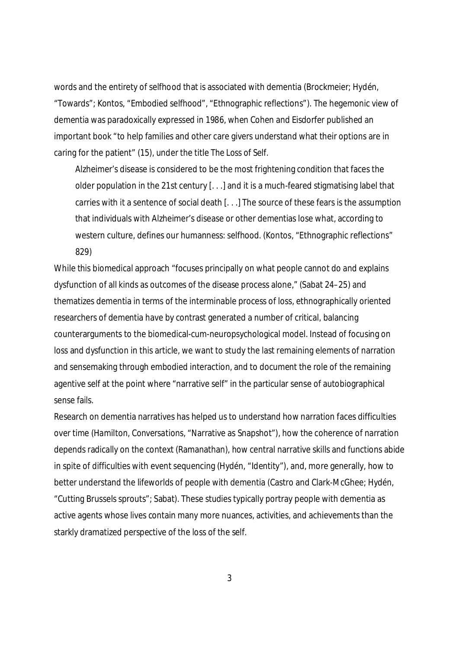words and the entirety of selfhood that is associated with dementia (Brockmeier; Hydén, "Towards"; Kontos, "Embodied selfhood", "Ethnographic reflections"). The hegemonic view of dementia was paradoxically expressed in 1986, when Cohen and Eisdorfer published an important book "to help families and other care givers understand what their options are in caring for the patient" (15), under the title *The Loss of Self*.

Alzheimer's disease is considered to be the most frightening condition that faces the older population in the 21st century [. . .] and it is a much-feared stigmatising label that carries with it a sentence of social death [. . .] The source of these fears is the assumption that individuals with Alzheimer's disease or other dementias lose what, according to western culture, defines our humanness: selfhood. (Kontos, "Ethnographic reflections" 829)

While this biomedical approach "focuses principally on what people cannot do and explains dysfunction of all kinds as outcomes of the disease process alone," (Sabat 24–25) and thematizes dementia in terms of the interminable process of loss, ethnographically oriented researchers of dementia have by contrast generated a number of critical, balancing counterarguments to the biomedical-cum-neuropsychological model. Instead of focusing on loss and dysfunction in this article, we want to study the last remaining elements of narration and sensemaking through embodied interaction, and to document the role of the remaining agentive self at the point where "narrative self" in the particular sense of autobiographical sense fails.

Research on dementia narratives has helped us to understand how narration faces difficulties over time (Hamilton, *Conversations*, "Narrative as Snapshot"), how the coherence of narration depends radically on the context (Ramanathan), how central narrative skills and functions abide in spite of difficulties with event sequencing (Hydén, "Identity"), and, more generally, how to better understand the lifeworlds of people with dementia (Castro and Clark-McGhee; Hydén, "Cutting Brussels sprouts"; Sabat). These studies typically portray people with dementia as active agents whose lives contain many more nuances, activities, and achievements than the starkly dramatized perspective of the loss of the self.

3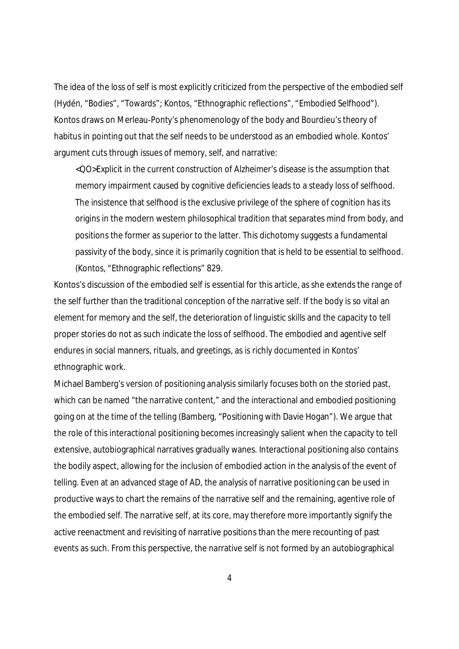The idea of the loss of self is most explicitly criticized from the perspective of the embodied self (Hydén, "Bodies", "Towards"; Kontos, "Ethnographic reflections", "Embodied Selfhood"). Kontos draws on Merleau-Ponty's phenomenology of the body and Bourdieu's theory of habitus in pointing out that the self needs to be understood as an embodied whole. Kontos' argument cuts through issues of memory, self, and narrative:

<QO>Explicit in the current construction of Alzheimer's disease is the assumption that memory impairment caused by cognitive deficiencies leads to a steady loss of selfhood. The insistence that selfhood is the exclusive privilege of the sphere of cognition has its origins in the modern western philosophical tradition that separates mind from body, and positions the former as superior to the latter. This dichotomy suggests a fundamental passivity of the body, since it is primarily cognition that is held to be essential to selfhood. (Kontos, "Ethnographic reflections" 829.

Kontos's discussion of the embodied self is essential for this article, as she extends the range of the self further than the traditional conception of the narrative self. If the body is so vital an element for memory and the self, the deterioration of linguistic skills and the capacity to tell proper stories do not as such indicate the loss of selfhood. The embodied and agentive self endures in social manners, rituals, and greetings, as is richly documented in Kontos' ethnographic work.

Michael Bamberg's version of positioning analysis similarly focuses both on the storied past, which can be named "the narrative content," and the interactional and embodied positioning going on at the time of the telling (Bamberg, "Positioning with Davie Hogan"). We argue that the role of this interactional positioning becomes increasingly salient when the capacity to tell extensive, autobiographical narratives gradually wanes. Interactional positioning also contains the bodily aspect, allowing for the inclusion of embodied action in the analysis of the event of telling. Even at an advanced stage of AD, the analysis of narrative positioning can be used in productive ways to chart the remains of the narrative self and the remaining, agentive role of the embodied self. The narrative self, at its core, may therefore more importantly signify the active reenactment and revisiting of narrative positions than the mere recounting of past events as such. From this perspective, the narrative self is not formed by an autobiographical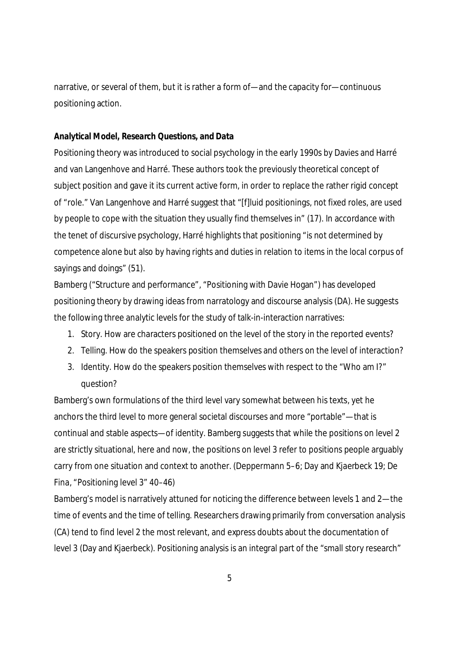narrative, or several of them, but it is rather a form of—and the capacity for—continuous positioning action.

## **Analytical Model, Research Questions, and Data**

Positioning theory was introduced to social psychology in the early 1990s by Davies and Harré and van Langenhove and Harré. These authors took the previously theoretical concept of subject position and gave it its current active form, in order to replace the rather rigid concept of "role." Van Langenhove and Harré suggest that "[f]luid positionings, not fixed roles, are used by people to cope with the situation they usually find themselves in" (17). In accordance with the tenet of discursive psychology, Harré highlights that positioning "is not determined by competence alone but also by having rights and duties in relation to items in the *local* corpus of sayings and doings" (51).

Bamberg ("Structure and performance", "Positioning with Davie Hogan") has developed positioning theory by drawing ideas from narratology and discourse analysis (DA). He suggests the following three analytic levels for the study of talk-in-interaction narratives:

- 1. Story. How are characters positioned on the level of the story in the reported events?
- 2. Telling. How do the speakers position themselves and others on the level of interaction?
- 3. Identity. How do the speakers position themselves with respect to the "Who am I?" question?

Bamberg's own formulations of the third level vary somewhat between his texts, yet he anchors the third level to more general societal discourses and more "portable"—that is continual and stable aspects—of identity. Bamberg suggests that while the positions on level 2 are strictly situational, here and now, the positions on level 3 refer to positions people arguably carry from one situation and context to another. (Deppermann 5–6; Day and Kjaerbeck 19; De Fina, "Positioning level 3" 40–46)

Bamberg's model is narratively attuned for noticing the difference between levels 1 and 2—the time of events and the time of telling. Researchers drawing primarily from conversation analysis (CA) tend to find level 2 the most relevant, and express doubts about the documentation of level 3 (Day and Kjaerbeck). Positioning analysis is an integral part of the "small story research"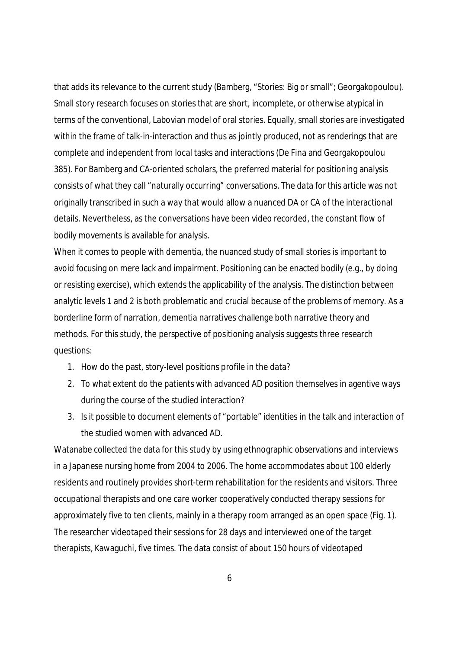that adds its relevance to the current study (Bamberg, "Stories: Big or small"; Georgakopoulou). Small story research focuses on stories that are short, incomplete, or otherwise atypical in terms of the conventional, Labovian model of oral stories. Equally, small stories are investigated within the frame of talk-in-interaction and thus as jointly produced, not as renderings that are complete and independent from local tasks and interactions (De Fina and Georgakopoulou 385). For Bamberg and CA-oriented scholars, the preferred material for positioning analysis consists of what they call "naturally occurring" conversations. The data for this article was not originally transcribed in such a way that would allow a nuanced DA or CA of the interactional details. Nevertheless, as the conversations have been video recorded, the constant flow of bodily movements is available for analysis.

When it comes to people with dementia, the nuanced study of small stories is important to avoid focusing on mere lack and impairment. Positioning can be enacted bodily (e.g., by doing or resisting exercise), which extends the applicability of the analysis. The distinction between analytic levels 1 and 2 is both problematic and crucial because of the problems of memory. As a borderline form of narration, dementia narratives challenge both narrative theory and methods. For this study, the perspective of positioning analysis suggests three research questions:

- 1. How do the past, story-level positions profile in the data?
- 2. To what extent do the patients with advanced AD position themselves in agentive ways during the course of the studied interaction?
- 3. Is it possible to document elements of "portable" identities in the talk and interaction of the studied women with advanced AD.

Watanabe collected the data for this study by using ethnographic observations and interviews in a Japanese nursing home from 2004 to 2006. The home accommodates about 100 elderly residents and routinely provides short-term rehabilitation for the residents and visitors. Three occupational therapists and one care worker cooperatively conducted therapy sessions for approximately five to ten clients, mainly in a therapy room arranged as an open space (Fig. 1). The researcher videotaped their sessions for 28 days and interviewed one of the target therapists, Kawaguchi, five times. The data consist of about 150 hours of videotaped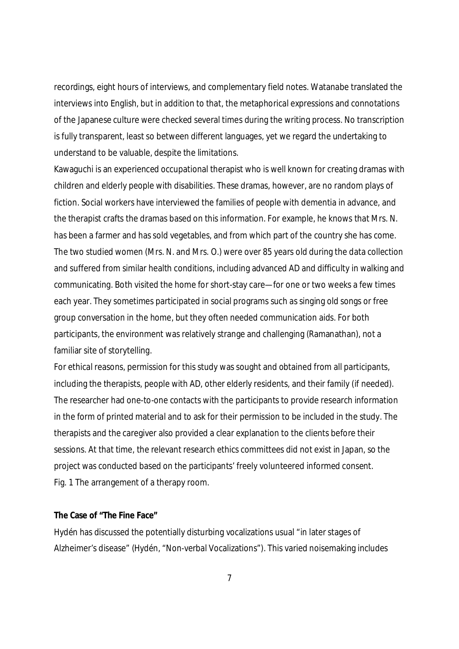recordings, eight hours of interviews, and complementary field notes. Watanabe translated the interviews into English, but in addition to that, the metaphorical expressions and connotations of the Japanese culture were checked several times during the writing process. No transcription is fully transparent, least so between different languages, yet we regard the undertaking to understand to be valuable, despite the limitations.

Kawaguchi is an experienced occupational therapist who is well known for creating dramas with children and elderly people with disabilities. These dramas, however, are no random plays of fiction. Social workers have interviewed the families of people with dementia in advance, and the therapist crafts the dramas based on this information. For example, he knows that Mrs. N. has been a farmer and has sold vegetables, and from which part of the country she has come. The two studied women (Mrs. N. and Mrs. O.) were over 85 years old during the data collection and suffered from similar health conditions, including advanced AD and difficulty in walking and communicating. Both visited the home for short-stay care—for one or two weeks a few times each year. They sometimes participated in social programs such as singing old songs or free group conversation in the home, but they often needed communication aids. For both participants, the environment was relatively strange and challenging (Ramanathan), not a familiar site of storytelling.

For ethical reasons, permission for this study was sought and obtained from all participants, including the therapists, people with AD, other elderly residents, and their family (if needed). The researcher had one-to-one contacts with the participants to provide research information in the form of printed material and to ask for their permission to be included in the study. The therapists and the caregiver also provided a clear explanation to the clients before their sessions. At that time, the relevant research ethics committees did not exist in Japan, so the project was conducted based on the participants' freely volunteered informed consent. Fig. 1 The arrangement of a therapy room.

#### **The Case of "The Fine Face"**

Hydén has discussed the potentially disturbing vocalizations usual "in later stages of Alzheimer's disease" (Hydén, "Non-verbal Vocalizations"). This varied noisemaking includes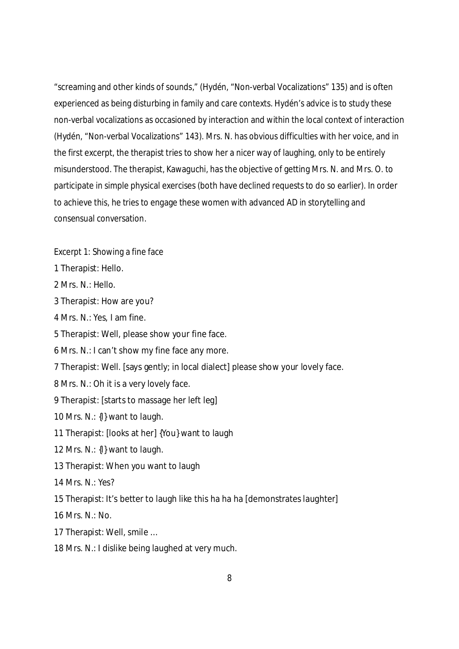"screaming and other kinds of sounds," (Hydén, "Non-verbal Vocalizations" 135) and is often experienced as being disturbing in family and care contexts. Hydén's advice is to study these non-verbal vocalizations as occasioned by interaction and within the local context of interaction (Hydén, "Non-verbal Vocalizations" 143). Mrs. N. has obvious difficulties with her voice, and in the first excerpt, the therapist tries to show her a nicer way of laughing, only to be entirely misunderstood. The therapist, Kawaguchi, has the objective of getting Mrs. N. and Mrs. O. to participate in simple physical exercises (both have declined requests to do so earlier). In order to achieve this, he tries to engage these women with advanced AD in storytelling and consensual conversation.

Excerpt 1: Showing a fine face

1 Therapist: Hello.

2 Mrs. N.: Hello.

- 3 Therapist: How are you?
- 4 Mrs. N.: Yes, I am fine.
- 5 Therapist: Well, please show your fine face.
- 6 Mrs. N.: I can't show my fine face any more.
- 7 Therapist: Well. [says gently; in local dialect] please show your lovely face.
- 8 Mrs. N.: Oh it is a very lovely face.
- 9 Therapist: [starts to massage her left leg]

10 Mrs. N.: {I} want to laugh.

- 11 Therapist: [looks at her] {You} want to laugh
- 12 Mrs. N.: {I} want to laugh.
- 13 Therapist: When you want to laugh
- 14 Mrs. N.: Yes?
- 15 Therapist: It's better to laugh like this ha ha ha [demonstrates laughter]
- 16 Mrs. N.: No.
- 17 Therapist: Well, smile …
- 18 Mrs. N.: I dislike being laughed at very much.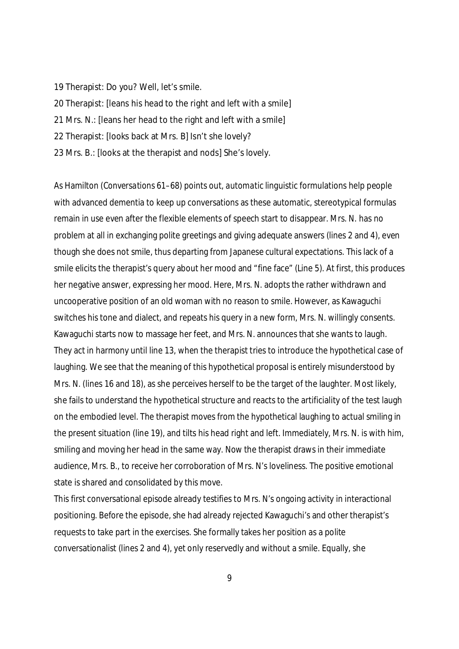19 Therapist: Do you? Well, let's smile.

20 Therapist: [leans his head to the right and left with a smile]

21 Mrs. N.: [leans her head to the right and left with a smile]

22 Therapist: [looks back at Mrs. B] Isn't she lovely?

23 Mrs. B.: [looks at the therapist and nods] She's lovely.

As Hamilton (*Conversations* 61–68) points out, *automatic* linguistic formulations help people with advanced dementia to keep up conversations as these automatic, stereotypical formulas remain in use even after the flexible elements of speech start to disappear. Mrs. N. has no problem at all in exchanging polite greetings and giving adequate answers (lines 2 and 4), even though she does not smile, thus departing from Japanese cultural expectations. This lack of a smile elicits the therapist's query about her mood and "fine face" (Line 5). At first, this produces her negative answer, expressing her mood. Here, Mrs. N. adopts the rather withdrawn and uncooperative position of an old woman with no reason to smile. However, as Kawaguchi switches his tone and dialect, and repeats his query in a new form, Mrs. N. willingly consents. Kawaguchi starts now to massage her feet, and Mrs. N. announces that she wants to laugh. They act in harmony until line 13, when the therapist tries to introduce the hypothetical case of laughing. We see that the meaning of this hypothetical proposal is entirely misunderstood by Mrs. N. (lines 16 and 18), as she perceives herself to be the target of the laughter. Most likely, she fails to understand the hypothetical structure and reacts to the artificiality of the test laugh on the embodied level. The therapist moves from the hypothetical laughing to actual smiling in the present situation (line 19), and tilts his head right and left. Immediately, Mrs. N. is with him, smiling and moving her head in the same way. Now the therapist draws in their immediate audience, Mrs. B., to receive her corroboration of Mrs. N's loveliness. The positive emotional state is shared and consolidated by this move.

This first conversational episode already testifies to Mrs. N's ongoing activity in interactional positioning. Before the episode, she had already rejected Kawaguchi's and other therapist's requests to take part in the exercises. She formally takes her position as a polite conversationalist (lines 2 and 4), yet only reservedly and without a smile. Equally, she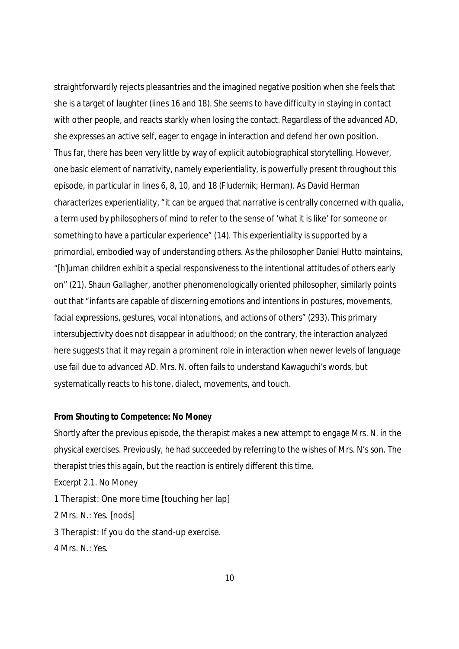straightforwardly rejects pleasantries and the imagined negative position when she feels that she is a target of laughter (lines 16 and 18). She seems to have difficulty in staying in contact with other people, and reacts starkly when losing the contact. Regardless of the advanced AD, she expresses an active self, eager to engage in interaction and defend her own position. Thus far, there has been very little by way of explicit autobiographical storytelling. However, one basic element of narrativity, namely experientiality, is powerfully present throughout this episode, in particular in lines 6, 8, 10, and 18 (Fludernik; Herman). As David Herman characterizes experientiality, "it can be argued that narrative is centrally concerned with *qualia*, a term used by philosophers of mind to refer to the sense of 'what it is like' for someone or something to have a particular experience" (14). This experientiality is supported by a primordial, embodied way of understanding others. As the philosopher Daniel Hutto maintains, "[h]uman children exhibit a special responsiveness to the intentional attitudes of others early on" (21). Shaun Gallagher, another phenomenologically oriented philosopher, similarly points out that "infants are capable of discerning emotions and intentions in postures, movements, facial expressions, gestures, vocal intonations, and actions of others" (293). This primary intersubjectivity does not disappear in adulthood; on the contrary, the interaction analyzed here suggests that it may regain a prominent role in interaction when newer levels of language use fail due to advanced AD. Mrs. N. often fails to understand Kawaguchi's words, but systematically reacts to his tone, dialect, movements, and touch.

## **From Shouting to Competence: No Money**

Shortly after the previous episode, the therapist makes a new attempt to engage Mrs. N. in the physical exercises. Previously, he had succeeded by referring to the wishes of Mrs. N's son. The therapist tries this again, but the reaction is entirely different this time.

Excerpt 2.1. No Money

1 Therapist: One more time [touching her lap]

2 Mrs. N.: Yes. [nods]

3 Therapist: If you do the stand-up exercise.

 $4$  Mrs. N.: Yes.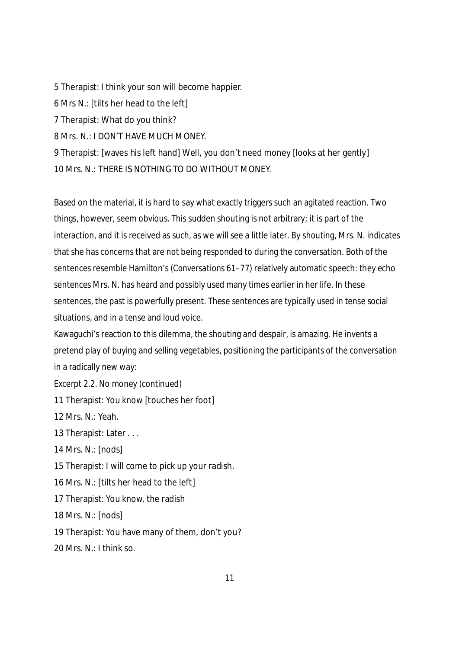5 Therapist: I think your son will become happier.

- 6 Mrs N.: [tilts her head to the left]
- 7 Therapist: What do you think?
- 8 Mrs. N.: I DON'T HAVE MUCH MONEY.
- 9 Therapist: [waves his left hand] Well, you don't need money [looks at her gently]
- 10 Mrs. N.: THERE IS NOTHING TO DO WITHOUT MONEY.

Based on the material, it is hard to say what exactly triggers such an agitated reaction. Two things, however, seem obvious. This sudden shouting is not arbitrary; it is part of the interaction, and it is received as such, as we will see a little later. By shouting, Mrs. N. indicates that she has concerns that are not being responded to during the conversation. Both of the sentences resemble Hamilton's (*Conversations* 61–77) relatively automatic speech: they echo sentences Mrs. N. has heard and possibly used many times earlier in her life. In these sentences, the past is powerfully present. These sentences are typically used in tense social situations, and in a tense and loud voice.

Kawaguchi's reaction to this dilemma, the shouting and despair, is amazing. He invents a pretend play of buying and selling vegetables, positioning the participants of the conversation in a radically new way:

Excerpt 2.2. No money (continued)

11 Therapist: You know [touches her foot]

12 Mrs. N.: Yeah.

13 Therapist: Later . . .

14 Mrs. N.: [nods]

15 Therapist: I will come to pick up your radish.

16 Mrs. N.: [tilts her head to the left]

17 Therapist: You know, the radish

18 Mrs. N.: [nods]

19 Therapist: You have many of them, don't you?

20 Mrs. N.: I think so.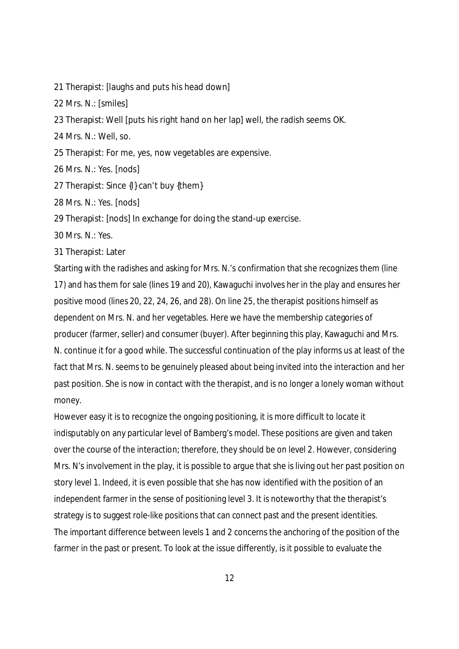21 Therapist: [laughs and puts his head down]

22 Mrs. N.: [smiles]

23 Therapist: Well [puts his right hand on her lap] well, the radish seems OK.

24 Mrs. N.: Well, so.

25 Therapist: For me, yes, now vegetables are expensive.

26 Mrs. N.: Yes. [nods]

27 Therapist: Since {I} can't buy {them}

28 Mrs. N.: Yes. [nods]

29 Therapist: [nods] In exchange for doing the stand-up exercise.

30 Mrs. N.: Yes.

31 Therapist: Later

Starting with the radishes and asking for Mrs. N.'s confirmation that she recognizes them (line 17) and has them for sale (lines 19 and 20), Kawaguchi involves her in the play and ensures her positive mood (lines 20, 22, 24, 26, and 28). On line 25, the therapist positions himself as dependent on Mrs. N. and her vegetables. Here we have the membership categories of producer (farmer, seller) and consumer (buyer). After beginning this play, Kawaguchi and Mrs. N. continue it for a good while. The successful continuation of the play informs us at least of the fact that Mrs. N. seems to be genuinely pleased about being invited into the interaction and her past position. She is now in contact with the therapist, and is no longer a lonely woman without money.

However easy it is to recognize the ongoing positioning, it is more difficult to locate it indisputably on any particular level of Bamberg's model. These positions are given and taken over the course of the interaction; therefore, they should be on level 2. However, considering Mrs. N's involvement in the play, it is possible to argue that she is living out her past position on story level 1. Indeed, it is even possible that she has now identified with the position of an independent farmer in the sense of positioning level 3. It is noteworthy that the therapist's strategy is to suggest role-like positions that can connect past and the present identities. The important difference between levels 1 and 2 concerns the anchoring of the position of the farmer in the past or present. To look at the issue differently, is it possible to evaluate the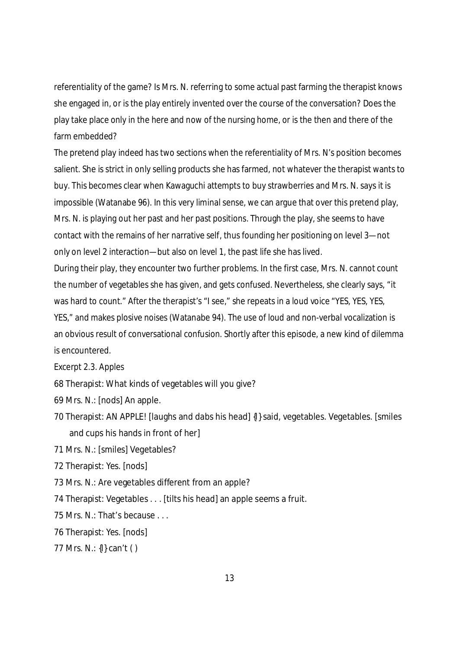referentiality of the game? Is Mrs. N. referring to some actual past farming the therapist knows she engaged in, or is the play entirely invented over the course of the conversation? Does the play take place only in the here and now of the nursing home, or is the then and there of the farm embedded?

The pretend play indeed has two sections when the referentiality of Mrs. N's position becomes salient. She is strict in only selling products she has farmed, not whatever the therapist wants to buy. This becomes clear when Kawaguchi attempts to buy strawberries and Mrs. N. says it is impossible (Watanabe 96). In this very liminal sense, we can argue that over this pretend play, Mrs. N. is playing out her past and her past positions. Through the play, she seems to have contact with the remains of her narrative self, thus founding her positioning on level 3—not only on level 2 interaction—but also on level 1, the past life she has lived.

During their play, they encounter two further problems. In the first case, Mrs. N. cannot count the number of vegetables she has given, and gets confused. Nevertheless, she clearly says, "it was hard to count." After the therapist's "I see," she repeats in a loud voice "YES, YES, YES, YES," and makes plosive noises (Watanabe 94). The use of loud and non-verbal vocalization is an obvious result of conversational confusion. Shortly after this episode, a new kind of dilemma is encountered.

Excerpt 2.3. Apples

68 Therapist: What kinds of vegetables will you give?

69 Mrs. N.: [nods] An apple.

- 70 Therapist: AN APPLE! [laughs and dabs his head] {I} said, vegetables. Vegetables. [smiles and cups his hands in front of her]
- 71 Mrs. N.: [smiles] Vegetables?

72 Therapist: Yes. [nods]

73 Mrs. N.: Are vegetables different from an apple?

74 Therapist: Vegetables . . . [tilts his head] an apple seems a fruit.

75 Mrs. N.: That's because . . .

76 Therapist: Yes. [nods]

77 Mrs. N.: {I} can't ( )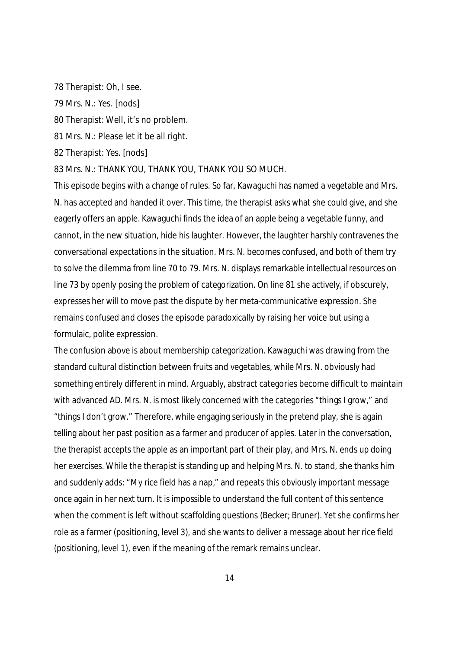78 Therapist: Oh, I see.

79 Mrs. N.: Yes. [nods]

80 Therapist: Well, it's no problem.

81 Mrs. N.: Please let it be all right.

82 Therapist: Yes. [nods]

83 Mrs. N.: THANK YOU, THANK YOU, THANK YOU SO MUCH.

This episode begins with a change of rules. So far, Kawaguchi has named a vegetable and Mrs. N. has accepted and handed it over. This time, the therapist asks what she could give, and she eagerly offers an apple. Kawaguchi finds the idea of an apple being a vegetable funny, and cannot, in the new situation, hide his laughter. However, the laughter harshly contravenes the conversational expectations in the situation. Mrs. N. becomes confused, and both of them try to solve the dilemma from line 70 to 79. Mrs. N. displays remarkable intellectual resources on line 73 by openly posing the problem of categorization. On line 81 she actively, if obscurely, expresses her will to move past the dispute by her meta-communicative expression. She remains confused and closes the episode paradoxically by raising her voice but using a formulaic, polite expression.

The confusion above is about membership categorization. Kawaguchi was drawing from the standard cultural distinction between fruits and vegetables, while Mrs. N. obviously had something entirely different in mind. Arguably, abstract categories become difficult to maintain with advanced AD. Mrs. N. is most likely concerned with the categories "things I grow," and "things I don't grow." Therefore, while engaging seriously in the pretend play, she is again telling about her past position as a farmer and producer of apples. Later in the conversation, the therapist accepts the apple as an important part of their play, and Mrs. N. ends up doing her exercises. While the therapist is standing up and helping Mrs. N. to stand, she thanks him and suddenly adds: "My rice field has a nap," and repeats this obviously important message once again in her next turn. It is impossible to understand the full content of this sentence when the comment is left without scaffolding questions (Becker; Bruner). Yet she confirms her role as a farmer (positioning, level 3), and she wants to deliver a message about her rice field (positioning, level 1), even if the meaning of the remark remains unclear.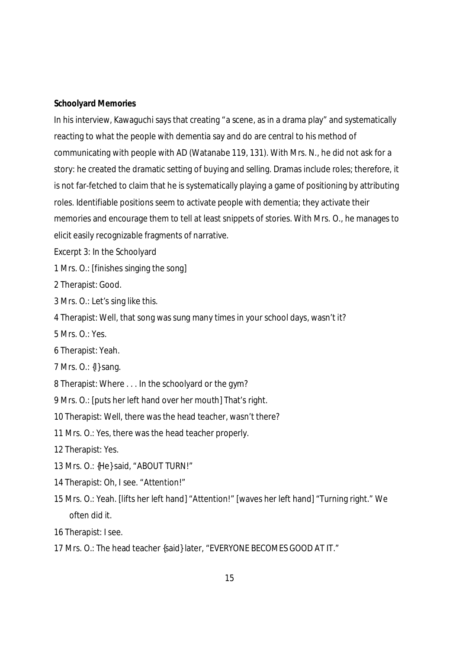#### **Schoolyard Memories**

In his interview, Kawaguchi says that creating "a scene, as in a drama play" and systematically reacting to what the people with dementia say and do are central to his method of communicating with people with AD (Watanabe 119, 131). With Mrs. N., he did not ask for a story: he created the dramatic setting of buying and selling. Dramas include roles; therefore, it is not far-fetched to claim that he is systematically playing a game of positioning by attributing roles. Identifiable positions seem to activate people with dementia; they activate their memories and encourage them to tell at least snippets of stories. With Mrs. O., he manages to elicit easily recognizable fragments of narrative.

Excerpt 3: In the Schoolyard

1 Mrs. O.: [finishes singing the song]

2 Therapist: Good.

3 Mrs. O.: Let's sing like this.

4 Therapist: Well, that song was sung many times in your school days, wasn't it?

- 5 Mrs. O.: Yes.
- 6 Therapist: Yeah.
- 7 Mrs. O.: {I} sang.
- 8 Therapist: Where . . . In the schoolyard or the gym?

9 Mrs. O.: [puts her left hand over her mouth] That's right.

10 Therapist: Well, there was the head teacher, wasn't there?

11 Mrs. O.: Yes, there was the head teacher properly.

12 Therapist: Yes.

- 13 Mrs. O.: {He} said, "ABOUT TURN!"
- 14 Therapist: Oh, I see. "Attention!"
- 15 Mrs. O.: Yeah. [lifts her left hand] "Attention!" [waves her left hand] "Turning right." We often did it.
- 16 Therapist: I see.
- 17 Mrs. O.: The head teacher {said} later, "EVERYONE BECOMES GOOD AT IT."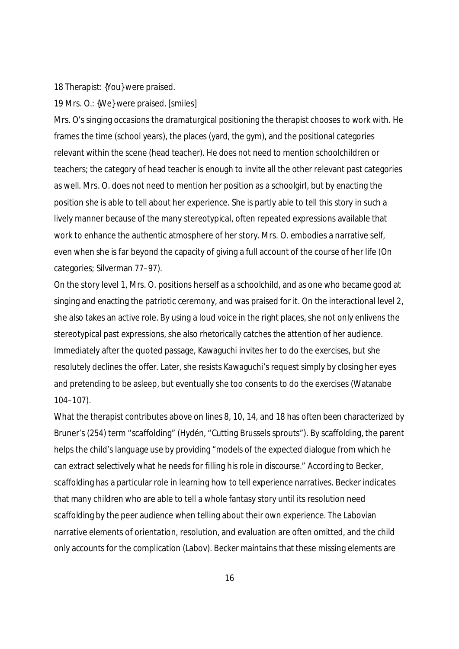18 Therapist: {You} were praised.

19 Mrs. O.: {We} were praised. [smiles]

Mrs. O's singing occasions the dramaturgical positioning the therapist chooses to work with. He frames the time (school years), the places (yard, the gym), and the positional categories relevant within the scene (head teacher). He does not need to mention schoolchildren or teachers; the category of head teacher is enough to invite all the other relevant past categories as well. Mrs. O. does not need to mention her position as a schoolgirl, but by enacting the position she is able to tell about her experience. She is partly able to tell this story in such a lively manner because of the many stereotypical, often repeated expressions available that work to enhance the authentic atmosphere of her story. Mrs. O. embodies a narrative self, even when she is far beyond the capacity of giving a full account of the course of her life (On categories; Silverman 77–97).

On the story level 1, Mrs. O. positions herself as a schoolchild, and as one who became good at singing and enacting the patriotic ceremony, and was praised for it. On the interactional level 2, she also takes an active role. By using a loud voice in the right places, she not only enlivens the stereotypical past expressions, she also rhetorically catches the attention of her audience. Immediately after the quoted passage, Kawaguchi invites her to do the exercises, but she resolutely declines the offer. Later, she resists Kawaguchi's request simply by closing her eyes and pretending to be asleep, but eventually she too consents to do the exercises (Watanabe 104–107).

What the therapist contributes above on lines 8, 10, 14, and 18 has often been characterized by Bruner's (254) term "scaffolding" (Hydén, "Cutting Brussels sprouts"). By scaffolding, the parent helps the child's language use by providing "models of the expected dialogue from which he can extract selectively what he needs for filling his role in discourse." According to Becker, scaffolding has a particular role in learning how to tell experience narratives. Becker indicates that many children who are able to tell a whole fantasy story until its resolution need scaffolding by the peer audience when telling about their own experience. The Labovian narrative elements of orientation, resolution, and evaluation are often omitted, and the child only accounts for the complication (Labov). Becker maintains that these missing elements are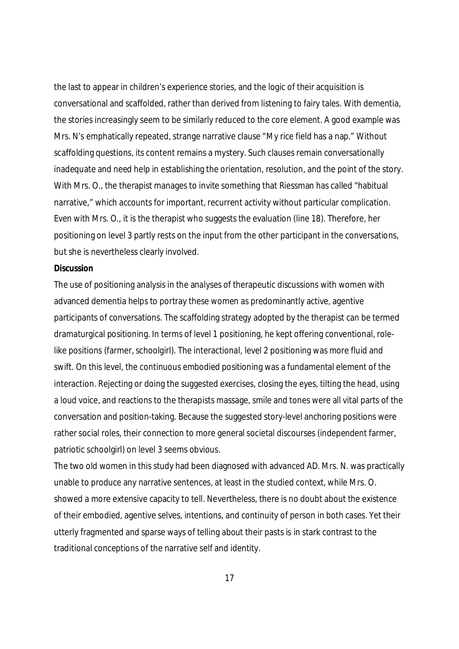the last to appear in children's experience stories, and the logic of their acquisition is conversational and scaffolded, rather than derived from listening to fairy tales. With dementia, the stories increasingly seem to be similarly reduced to the core element. A good example was Mrs. N's emphatically repeated, strange narrative clause "My rice field has a nap." Without scaffolding questions, its content remains a mystery. Such clauses remain conversationally inadequate and need help in establishing the orientation, resolution, and the point of the story. With Mrs. O., the therapist manages to invite something that Riessman has called "habitual narrative," which accounts for important, recurrent activity without particular complication. Even with Mrs. O., it is the therapist who suggests the evaluation (line 18). Therefore, her positioning on level 3 partly rests on the input from the other participant in the conversations, but she is nevertheless clearly involved.

### **Discussion**

The use of positioning analysis in the analyses of therapeutic discussions with women with advanced dementia helps to portray these women as predominantly active, agentive participants of conversations. The scaffolding strategy adopted by the therapist can be termed dramaturgical positioning. In terms of level 1 positioning, he kept offering conventional, rolelike positions (farmer, schoolgirl). The interactional, level 2 positioning was more fluid and swift. On this level, the continuous embodied positioning was a fundamental element of the interaction. Rejecting or doing the suggested exercises, closing the eyes, tilting the head, using a loud voice, and reactions to the therapists massage, smile and tones were all vital parts of the conversation and position-taking. Because the suggested story-level anchoring positions were rather social roles, their connection to more general societal discourses (independent farmer, patriotic schoolgirl) on level 3 seems obvious.

The two old women in this study had been diagnosed with advanced AD. Mrs. N. was practically unable to produce any narrative sentences, at least in the studied context, while Mrs. O. showed a more extensive capacity to tell. Nevertheless, there is no doubt about the existence of their embodied, agentive selves, intentions, and continuity of person in both cases. Yet their utterly fragmented and sparse ways of telling about their pasts is in stark contrast to the traditional conceptions of the narrative self and identity.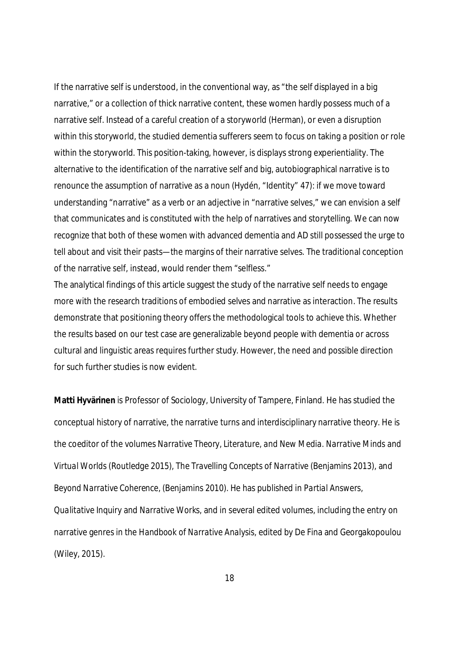If the narrative self is understood, in the conventional way, as "the self displayed in a big narrative," or a collection of thick narrative content, these women hardly possess much of a narrative self. Instead of a careful creation of a storyworld (Herman), or even a disruption within this storyworld, the studied dementia sufferers seem to focus on taking a position or role within the storyworld. This position-taking, however, is displays strong experientiality. The alternative to the identification of the narrative self and big, autobiographical narrative is to renounce the assumption of narrative as a noun (Hydén, "Identity" 47): if we move toward understanding "narrative" as a verb or an adjective in "narrative selves," we can envision a self that communicates and is constituted with the help of narratives and storytelling. We can now recognize that both of these women with advanced dementia and AD still possessed the urge to tell about and visit their pasts—the margins of their narrative selves. The traditional conception of the narrative self, instead, would render them "selfless."

The analytical findings of this article suggest the study of the narrative self needs to engage more with the research traditions of embodied selves and narrative as interaction. The results demonstrate that positioning theory offers the methodological tools to achieve this. Whether the results based on our test case are generalizable beyond people with dementia or across cultural and linguistic areas requires further study. However, the need and possible direction for such further studies is now evident.

**Matti Hyvärinen** is Professor of Sociology, University of Tampere, Finland. He has studied the conceptual history of narrative, the narrative turns and interdisciplinary narrative theory. He is the coeditor of the volumes *Narrative Theory, Literature, and New Media. Narrative Minds and Virtual Worlds* (Routledge 2015), *The Travelling Concepts of Narrative* (Benjamins 2013), and *Beyond Narrative Coherence*, (Benjamins 2010). He has published in *Partial Answers*, *Qualitative Inquiry* and *Narrative Works*, and in several edited volumes, including the entry on narrative genres in the *Handbook of Narrative Analysis*, edited by De Fina and Georgakopoulou (Wiley, 2015).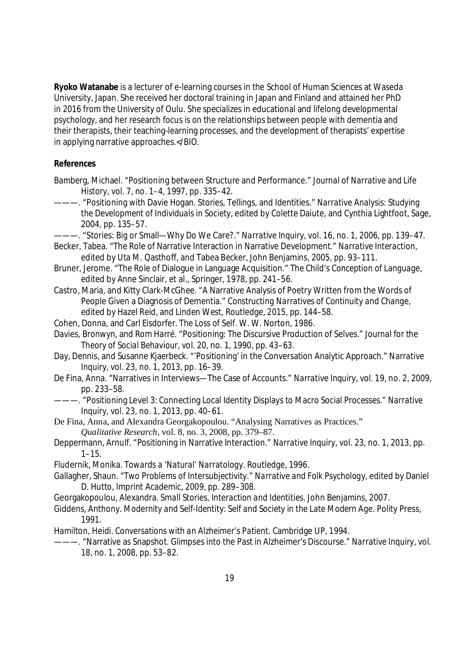**Ryoko Watanabe** is a lecturer of e-learning courses in the School of Human Sciences at Waseda University, Japan. She received her doctoral training in Japan and Finland and attained her PhD in 2016 from the University of Oulu. She specializes in educational and lifelong developmental psychology, and her research focus is on the relationships between people with dementia and their therapists, their teaching-learning processes, and the development of therapists' expertise in applying narrative approaches.</BIO.

# **References**

- Bamberg, Michael. "Positioning between Structure and Performance." *Journal of Narrative and Life History,* vol. 7, no. 1–4, 1997, pp. 335–42.
- ———. "Positioning with Davie Hogan. Stories, Tellings, and Identities." *Narrative Analysis: Studying the Development of Individuals in Society*, edited by Colette Daiute, and Cynthia Lightfoot, Sage, 2004, pp. 135–57.
- ———. "Stories: Big or Small—Why Do We Care?." *Narrative Inquiry,* vol. 16, no. 1, 2006, pp. 139–47.
- Becker, Tabea. "The Role of Narrative Interaction in Narrative Development." *Narrative Interaction*, edited by Uta M. Qasthoff, and Tabea Becker, John Benjamins, 2005, pp. 93–111.
- Bruner, Jerome. "The Role of Dialogue in Language Acquisition." *The Child's Conception of Language*, edited by Anne Sinclair, et al., Springer, 1978, pp. 241–56.
- Castro, Maria, and Kitty Clark-McGhee. "A Narrative Analysis of Poetry Written from the Words of People Given a Diagnosis of Dementia." *Constructing Narratives of Continuity and Change*, edited by Hazel Reid, and Linden West, Routledge, 2015, pp. 144–58.
- Cohen, Donna, and Carl Eisdorfer. *The Loss of Self*. W. W. Norton, 1986.
- Davies, Bronwyn, and Rom Harré. "Positioning: The Discursive Production of Selves." *Journal for the Theory of Social Behaviour*, vol. 20, no. 1, 1990, pp. 43–63.
- Day, Dennis, and Susanne Kjaerbeck. "'Positioning' in the Conversation Analytic Approach." *Narrative Inquiry,* vol. 23, no. 1, 2013, pp. 16–39.
- De Fina, Anna. "Narratives in Interviews—The Case of Accounts." *Narrative Inquiry*, vol. 19, no. 2, 2009, pp. 233–58.
- ———. "Positioning Level 3: Connecting Local Identity Displays to Macro Social Processes." *Narrative Inquiry,* vol. 23, no. 1, 2013, pp. 40–61.
- De Fina, Anna, and Alexandra Georgakopoulou. "Analysing Narratives as Practices." *Qualitative Research*, vol. 8, no. 3, 2008, pp. 379–87.
- Deppermann, Arnulf. "Positioning in Narrative Interaction." *Narrative Inquiry*, vol. 23, no. 1, 2013, pp.  $1 - 15$ .
- Fludernik, Monika. *Towards a 'Natural' Narratology*. Routledge, 1996.
- Gallagher, Shaun. "Two Problems of Intersubjectivity." *Narrative and Folk Psychology*, edited by Daniel D. Hutto, Imprint Academic, 2009, pp. 289–308.
- Georgakopoulou, Alexandra. *Small Stories, Interaction and Identities*. John Benjamins, 2007.
- Giddens, Anthony. *Modernity and Self-Identity: Self and Society in the Late Modern Age*. Polity Press, 1991.
- Hamilton, Heidi. *Conversations with an Alzheimer's Patient*. Cambridge UP, 1994.
- ———. "Narrative as Snapshot. Glimpses into the Past in Alzheimer's Discourse." *Narrative Inquiry*, vol. 18, no. 1, 2008, pp. 53–82.